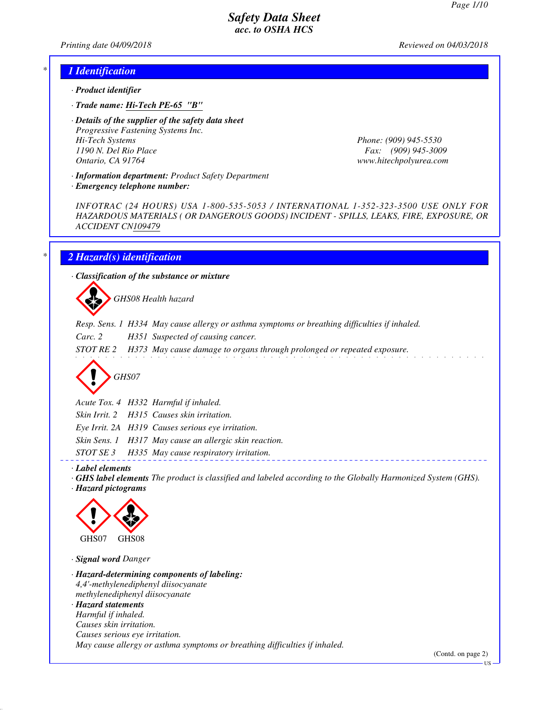*Printing date 04/09/2018 Reviewed on 04/03/2018*

#### *\* 1 Identification*

- *· Product identifier*
- *· Trade name: Hi-Tech PE-65 "B"*
- *· Details of the supplier of the safety data sheet Progressive Fastening Systems Inc. Hi-Tech Systems Phone: (909) 945-5530 1190 N. Del Rio Place Fax: (909) 945-3009 Ontario, CA 91764 www.hitechpolyurea.com*

*· Information department: Product Safety Department*

*INFOTRAC (24 HOURS) USA 1-800-535-5053 / INTERNATIONAL 1-352-323-3500 USE ONLY FOR HAZARDOUS MATERIALS ( OR DANGEROUS GOODS) INCIDENT - SPILLS, LEAKS, FIRE, EXPOSURE, OR ACCIDENT CN109479*

#### *\* 2 Hazard(s) identification*

*· Emergency telephone number:*

*· Classification of the substance or mixture*

d~*GHS08 Health hazard*

- *Resp. Sens. 1 H334 May cause allergy or asthma symptoms or breathing difficulties if inhaled.*
- *Carc. 2 H351 Suspected of causing cancer.*
- *STOT RE 2 H373 May cause damage to organs through prolonged or repeated exposure.*

d~*GHS07*

*Acute Tox. 4 H332 Harmful if inhaled.*

*Skin Irrit. 2 H315 Causes skin irritation.*

*Eye Irrit. 2A H319 Causes serious eye irritation.*

*Skin Sens. 1 H317 May cause an allergic skin reaction.*

*STOT SE 3 H335 May cause respiratory irritation.*

*· Label elements*

*· GHS label elements The product is classified and labeled according to the Globally Harmonized System (GHS). · Hazard pictograms*



*· Signal word Danger*

*· Hazard-determining components of labeling: 4,4'-methylenediphenyl diisocyanate methylenediphenyl diisocyanate · Hazard statements Harmful if inhaled. Causes skin irritation. Causes serious eye irritation. May cause allergy or asthma symptoms or breathing difficulties if inhaled.*

(Contd. on page 2)

US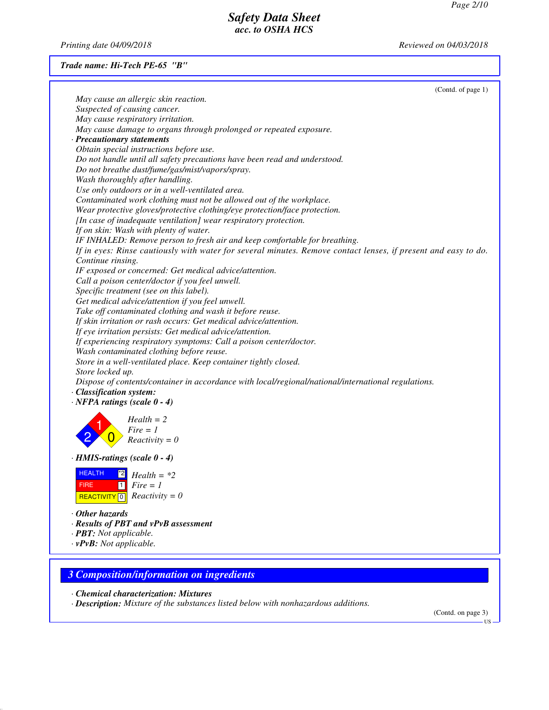*Printing date 04/09/2018 Reviewed on 04/03/2018*

## *Trade name: Hi-Tech PE-65 "B"*

| (Contd. of page 1)                                                                                             |
|----------------------------------------------------------------------------------------------------------------|
| May cause an allergic skin reaction.                                                                           |
| Suspected of causing cancer.                                                                                   |
| May cause respiratory irritation.                                                                              |
| May cause damage to organs through prolonged or repeated exposure.                                             |
| · Precautionary statements                                                                                     |
| Obtain special instructions before use.                                                                        |
| Do not handle until all safety precautions have been read and understood.                                      |
| Do not breathe dust/fume/gas/mist/vapors/spray.                                                                |
| Wash thoroughly after handling.                                                                                |
| Use only outdoors or in a well-ventilated area.                                                                |
| Contaminated work clothing must not be allowed out of the workplace.                                           |
| Wear protective gloves/protective clothing/eye protection/face protection.                                     |
| [In case of inadequate ventilation] wear respiratory protection.                                               |
| If on skin: Wash with plenty of water.                                                                         |
| IF INHALED: Remove person to fresh air and keep comfortable for breathing.                                     |
| If in eyes: Rinse cautiously with water for several minutes. Remove contact lenses, if present and easy to do. |
| Continue rinsing.                                                                                              |
| IF exposed or concerned: Get medical advice/attention.                                                         |
| Call a poison center/doctor if you feel unwell.                                                                |
| Specific treatment (see on this label).                                                                        |
| Get medical advice/attention if you feel unwell.                                                               |
| Take off contaminated clothing and wash it before reuse.                                                       |
| If skin irritation or rash occurs: Get medical advice/attention.                                               |
| If eye irritation persists: Get medical advice/attention.                                                      |
| If experiencing respiratory symptoms: Call a poison center/doctor.                                             |
| Wash contaminated clothing before reuse.                                                                       |
| Store in a well-ventilated place. Keep container tightly closed.                                               |
| Store locked up.                                                                                               |
| Dispose of contents/container in accordance with local/regional/national/international regulations.            |
| · Classification system:                                                                                       |
| $\cdot$ NFPA ratings (scale $0 - 4$ )                                                                          |
|                                                                                                                |
| $Health = 2$                                                                                                   |
| $Fire = 1$                                                                                                     |
| $Reactivity = 0$                                                                                               |
| $\cdot$ HMIS-ratings (scale 0 - 4)                                                                             |
| <b>HEALTH</b><br>$Health = *2$                                                                                 |
| $\vert$ 1 $\vert$<br>$Fire = 1$<br><b>FIRE</b>                                                                 |
| $Reactivity = 0$                                                                                               |
| REACTIVITY <sup>0</sup>                                                                                        |
| $\cdot$ Other hazards                                                                                          |
| · Results of PBT and vPvB assessment                                                                           |
| · <b>PBT</b> : Not applicable.                                                                                 |

*· vPvB: Not applicable.*

# *3 Composition/information on ingredients*

*· Chemical characterization: Mixtures*

*· Description: Mixture of the substances listed below with nonhazardous additions.*

(Contd. on page 3)

US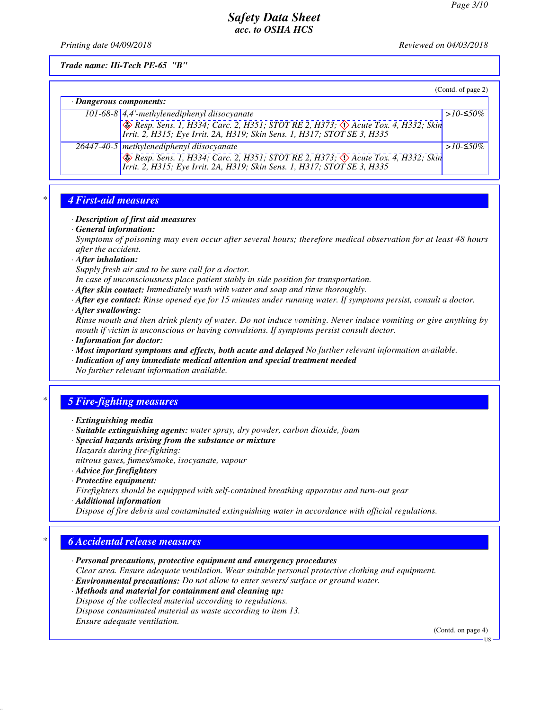*Printing date 04/09/2018 Reviewed on 04/03/2018*

*Trade name: Hi-Tech PE-65 "B"*

|                         |                                                                                                                                                                              | (Contd. of page 2) |
|-------------------------|------------------------------------------------------------------------------------------------------------------------------------------------------------------------------|--------------------|
| · Dangerous components: |                                                                                                                                                                              |                    |
|                         | 101-68-8 4,4'-methylenediphenyl diisocyanate                                                                                                                                 | > $10$ -≤50%       |
|                         | <b>&amp; Resp. Sens. 1, H334; Carc. 2, H351; STOT RE 2, H373; A Acute Tox. 4, H332; Skin</b><br>Irrit. 2, H315; Eye Irrit. 2A, H319; Skin Sens. 1, H317; STOT SE 3, H335     |                    |
|                         | $\sqrt{26447}$ -40-5   methylenediphenyl diisocyanate                                                                                                                        | > $10$ -≤50%       |
|                         | <b>&amp; Resp. Sens. 1, H334; Carc. 2, H351; STOT RE 2, H373; &amp; Acute Tox. 4, H332; Skin</b><br>Irrit. 2, H315; Eye Irrit. 2A, H319; Skin Sens. 1, H317; STOT SE 3, H335 |                    |

#### *\* 4 First-aid measures*

#### *· Description of first aid measures*

*· General information:*

*Symptoms of poisoning may even occur after several hours; therefore medical observation for at least 48 hours after the accident.*

*· After inhalation:*

*Supply fresh air and to be sure call for a doctor.*

- *In case of unconsciousness place patient stably in side position for transportation.*
- *· After skin contact: Immediately wash with water and soap and rinse thoroughly.*
- *· After eye contact: Rinse opened eye for 15 minutes under running water. If symptoms persist, consult a doctor.*
- *· After swallowing:*

*Rinse mouth and then drink plenty of water. Do not induce vomiting. Never induce vomiting or give anything by mouth if victim is unconscious or having convulsions. If symptoms persist consult doctor. · Information for doctor:*

- *· Most important symptoms and effects, both acute and delayed No further relevant information available.*
- *· Indication of any immediate medical attention and special treatment needed No further relevant information available.*

# *\* 5 Fire-fighting measures*

- *· Extinguishing media*
- *· Suitable extinguishing agents: water spray, dry powder, carbon dioxide, foam*
- *· Special hazards arising from the substance or mixture Hazards during fire-fighting:*
- *nitrous gases, fumes/smoke, isocyanate, vapour*
- *· Advice for firefighters*
- *· Protective equipment:*
- *Firefighters should be equippped with self-contained breathing apparatus and turn-out gear*
- *· Additional information*
- *Dispose of fire debris and contaminated extinguishing water in accordance with official regulations.*

#### *\* 6 Accidental release measures*

- *· Personal precautions, protective equipment and emergency procedures Clear area. Ensure adequate ventilation. Wear suitable personal protective clothing and equipment.*
- *· Environmental precautions: Do not allow to enter sewers/ surface or ground water.*
- *· Methods and material for containment and cleaning up: Dispose of the collected material according to regulations. Dispose contaminated material as waste according to item 13. Ensure adequate ventilation.*

(Contd. on page 4)

US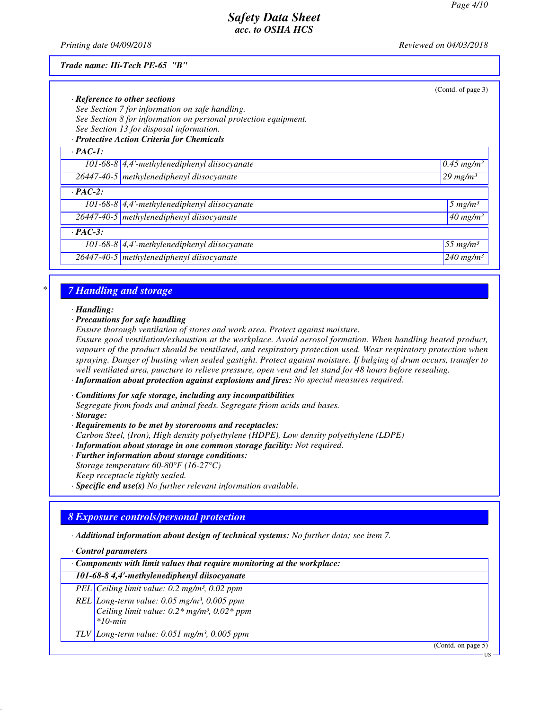*Printing date 04/09/2018 Reviewed on 04/03/2018*

#### *Trade name: Hi-Tech PE-65 "B"*

|                |                                                                 | (Contd. of page 3)       |
|----------------|-----------------------------------------------------------------|--------------------------|
|                | $\cdot$ Reference to other sections                             |                          |
|                | See Section 7 for information on safe handling.                 |                          |
|                | See Section 8 for information on personal protection equipment. |                          |
|                | See Section 13 for disposal information.                        |                          |
|                | · Protective Action Criteria for Chemicals                      |                          |
| $\cdot$ PAC-1: |                                                                 |                          |
|                | 101-68-8 $\vert$ 4,4'-methylenediphenyl diisocyanate            | $0.45$ mg/m <sup>3</sup> |
|                | $26447 - 40 - 5$ methylenediphenyl diisocyanate                 | $29$ mg/m <sup>3</sup>   |
| $\cdot$ PAC-2: |                                                                 |                          |
|                | 101-68-8 $\vert$ 4,4'-methylenediphenyl diisocyanate            | $5 \ mg/m3$              |
|                | 26447-40-5 methylenediphenyl diisocyanate                       | $40$ mg/m <sup>3</sup>   |
| $\cdot$ PAC-3: |                                                                 |                          |
|                | 101-68-8 $\vert$ 4,4'-methylenediphenyl diisocyanate            | $55$ mg/m <sup>3</sup>   |
|                | 26447-40-5 methylenediphenyl diisocyanate                       | $240$ mg/m <sup>3</sup>  |

#### *\* 7 Handling and storage*

*· Handling:*

*· Precautions for safe handling*

*Ensure thorough ventilation of stores and work area. Protect against moisture.*

*Ensure good ventilation/exhaustion at the workplace. Avoid aerosol formation. When handling heated product, vapours of the product should be ventilated, and respiratory protection used. Wear respiratory protection when spraying. Danger of busting when sealed gastight. Protect against moisture. If bulging of drum occurs, transfer to well ventilated area, puncture to relieve pressure, open vent and let stand for 48 hours before resealing. · Information about protection against explosions and fires: No special measures required.*

- 
- *· Conditions for safe storage, including any incompatibilities Segregate from foods and animal feeds. Segregate friom acids and bases. · Storage:*

- *· Requirements to be met by storerooms and receptacles: Carbon Steel, (Iron), High density polyethylene (HDPE), Low density polyethylene (LDPE)*
- *· Information about storage in one common storage facility: Not required.*
- *· Further information about storage conditions:*
- *Storage temperature 60-80°F (16-27°C) Keep receptacle tightly sealed.*
- *· Specific end use(s) No further relevant information available.*

#### *8 Exposure controls/personal protection*

*· Additional information about design of technical systems: No further data; see item 7.*

*· Control parameters*

| $\cdot$ Components with limit values that require monitoring at the workplace: |  |  |
|--------------------------------------------------------------------------------|--|--|
|                                                                                |  |  |

#### *101-68-8 4,4'-methylenediphenyl diisocyanate*

*PEL Ceiling limit value: 0.2 mg/m³, 0.02 ppm*

*REL Long-term value: 0.05 mg/m³, 0.005 ppm Ceiling limit value: 0.2\* mg/m³, 0.02\* ppm \*10-min*

*TLV Long-term value: 0.051 mg/m³, 0.005 ppm*

(Contd. on page 5)

US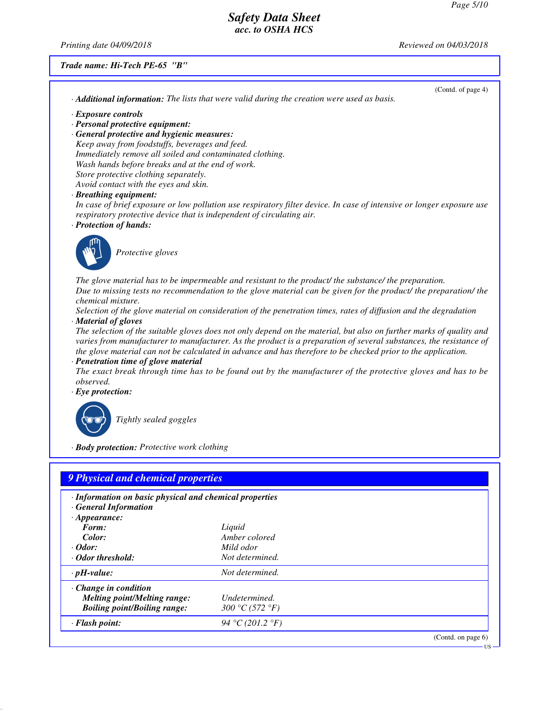(Contd. of page 4)

# *Safety Data Sheet acc. to OSHA HCS*

*Printing date 04/09/2018 Reviewed on 04/03/2018*

## *Trade name: Hi-Tech PE-65 "B"*

|                                                                                                            | · Additional information: The lists that were valid during the creation were used as basis.                                                                                                                                                                                                                                                                |
|------------------------------------------------------------------------------------------------------------|------------------------------------------------------------------------------------------------------------------------------------------------------------------------------------------------------------------------------------------------------------------------------------------------------------------------------------------------------------|
| $\cdot$ Exposure controls                                                                                  |                                                                                                                                                                                                                                                                                                                                                            |
| · Personal protective equipment:                                                                           |                                                                                                                                                                                                                                                                                                                                                            |
| · General protective and hygienic measures:                                                                |                                                                                                                                                                                                                                                                                                                                                            |
| Keep away from foodstuffs, beverages and feed.<br>Immediately remove all soiled and contaminated clothing. |                                                                                                                                                                                                                                                                                                                                                            |
| Wash hands before breaks and at the end of work.                                                           |                                                                                                                                                                                                                                                                                                                                                            |
| Store protective clothing separately.                                                                      |                                                                                                                                                                                                                                                                                                                                                            |
| Avoid contact with the eyes and skin.                                                                      |                                                                                                                                                                                                                                                                                                                                                            |
| · Breathing equipment:                                                                                     |                                                                                                                                                                                                                                                                                                                                                            |
|                                                                                                            | In case of brief exposure or low pollution use respiratory filter device. In case of intensive or longer exposure use                                                                                                                                                                                                                                      |
| respiratory protective device that is independent of circulating air.                                      |                                                                                                                                                                                                                                                                                                                                                            |
| · Protection of hands:                                                                                     |                                                                                                                                                                                                                                                                                                                                                            |
| Protective gloves                                                                                          | The glove material has to be impermeable and resistant to the product/ the substance/ the preparation.                                                                                                                                                                                                                                                     |
| chemical mixture.                                                                                          | Due to missing tests no recommendation to the glove material can be given for the product/ the preparation/ the                                                                                                                                                                                                                                            |
| · Material of gloves                                                                                       | Selection of the glove material on consideration of the penetration times, rates of diffusion and the degradation                                                                                                                                                                                                                                          |
|                                                                                                            | The selection of the suitable gloves does not only depend on the material, but also on further marks of quality and<br>varies from manufacturer to manufacturer. As the product is a preparation of several substances, the resistance of<br>the glove material can not be calculated in advance and has therefore to be checked prior to the application. |
| · Penetration time of glove material                                                                       |                                                                                                                                                                                                                                                                                                                                                            |
|                                                                                                            | The exact break through time has to be found out by the manufacturer of the protective gloves and has to be                                                                                                                                                                                                                                                |
| observed.                                                                                                  |                                                                                                                                                                                                                                                                                                                                                            |
| $\cdot$ Eye protection:                                                                                    |                                                                                                                                                                                                                                                                                                                                                            |
|                                                                                                            |                                                                                                                                                                                                                                                                                                                                                            |
| Tightly sealed goggles                                                                                     |                                                                                                                                                                                                                                                                                                                                                            |
| · Body protection: Protective work clothing                                                                |                                                                                                                                                                                                                                                                                                                                                            |
|                                                                                                            |                                                                                                                                                                                                                                                                                                                                                            |
| 9 Physical and chemical properties                                                                         |                                                                                                                                                                                                                                                                                                                                                            |
| · Information on basic physical and chemical properties                                                    |                                                                                                                                                                                                                                                                                                                                                            |
| <b>General Information</b>                                                                                 |                                                                                                                                                                                                                                                                                                                                                            |
| $\cdot$ Appearance:                                                                                        |                                                                                                                                                                                                                                                                                                                                                            |
| Form:<br>Color:                                                                                            | Liquid<br>Amber colored                                                                                                                                                                                                                                                                                                                                    |
| $\cdot$ Odor:                                                                                              | Mild odor                                                                                                                                                                                                                                                                                                                                                  |
| $\cdot$ Odor threshold:                                                                                    | Not determined.                                                                                                                                                                                                                                                                                                                                            |
| $\cdot$ pH-value:                                                                                          | Not determined.                                                                                                                                                                                                                                                                                                                                            |
| Change in condition                                                                                        |                                                                                                                                                                                                                                                                                                                                                            |
| <b>Melting point/Melting range:</b>                                                                        | Undetermined.                                                                                                                                                                                                                                                                                                                                              |
| <b>Boiling point/Boiling range:</b>                                                                        | 300 °C (572 °F)                                                                                                                                                                                                                                                                                                                                            |
| · Flash point:                                                                                             | 94 °C (201.2 °F)                                                                                                                                                                                                                                                                                                                                           |
|                                                                                                            | (Contd. on page 6)                                                                                                                                                                                                                                                                                                                                         |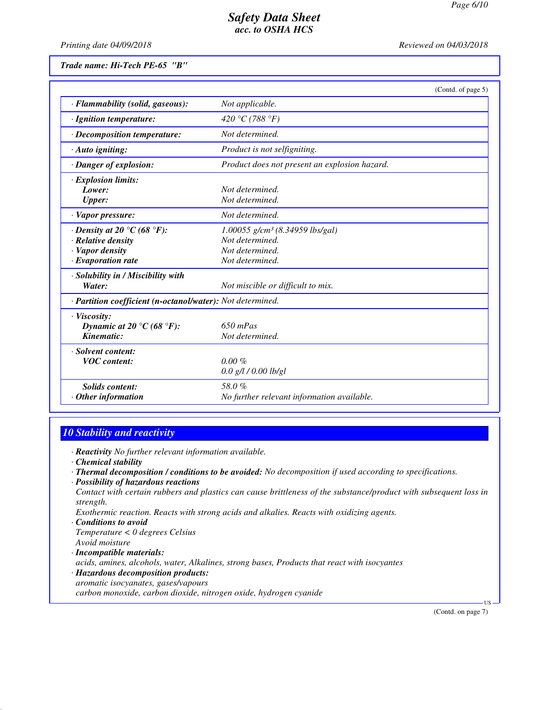*Printing date 04/09/2018 Reviewed on 04/03/2018*

*Trade name: Hi-Tech PE-65 "B"*

|                                                            | (Contd. of page 5)                            |
|------------------------------------------------------------|-----------------------------------------------|
| · Flammability (solid, gaseous):                           | Not applicable.                               |
| · Ignition temperature:                                    | 420 °C (788 °F)                               |
| · Decomposition temperature:                               | Not determined.                               |
| $\cdot$ Auto igniting:                                     | Product is not selfigniting.                  |
| · Danger of explosion:                                     | Product does not present an explosion hazard. |
| $\cdot$ Explosion limits:                                  |                                               |
| Lower:                                                     | Not determined.                               |
| <b>Upper:</b>                                              | Not determined.                               |
| $\cdot$ Vapor pressure:                                    | Not determined.                               |
| $\cdot$ Density at 20 °C (68 °F):                          | $1.00055$ g/cm <sup>3</sup> (8.34959 lbs/gal) |
| · Relative density                                         | Not determined.                               |
| · Vapor density                                            | Not determined.                               |
| $\cdot$ Evaporation rate                                   | Not determined.                               |
| · Solubility in / Miscibility with                         |                                               |
| Water:                                                     | Not miscible or difficult to mix.             |
| · Partition coefficient (n-octanol/water): Not determined. |                                               |
| $\cdot$ Viscosity:                                         |                                               |
| Dynamic at 20 °C (68 °F):                                  | $650$ mPas                                    |
| Kinematic:                                                 | Not determined.                               |
| · Solvent content:                                         |                                               |
| <b>VOC</b> content:                                        | $0.00 \%$                                     |
|                                                            | $0.0$ g/l / 0.00 lb/gl                        |
| <b>Solids content:</b>                                     | 58.0%                                         |
| Other information                                          | No further relevant information available.    |

## *10 Stability and reactivity*

*· Reactivity No further relevant information available.*

*· Chemical stability*

- *· Thermal decomposition / conditions to be avoided: No decomposition if used according to specifications.*
- *· Possibility of hazardous reactions*

*Contact with certain rubbers and plastics can cause brittleness of the substance/product with subsequent loss in strength.*

*Exothermic reaction. Reacts with strong acids and alkalies. Reacts with oxidizing agents.*

- *· Conditions to avoid Temperature < 0 degrees Celsius Avoid moisture*
- *· Incompatible materials:*

*acids, amines, alcohols, water, Alkalines, strong bases, Products that react with isocyantes*

- *· Hazardous decomposition products:*
- *aromatic isocyanates, gases/vapours*

*carbon monoxide, carbon dioxide, nitrogen oxide, hydrogen cyanide*

(Contd. on page 7)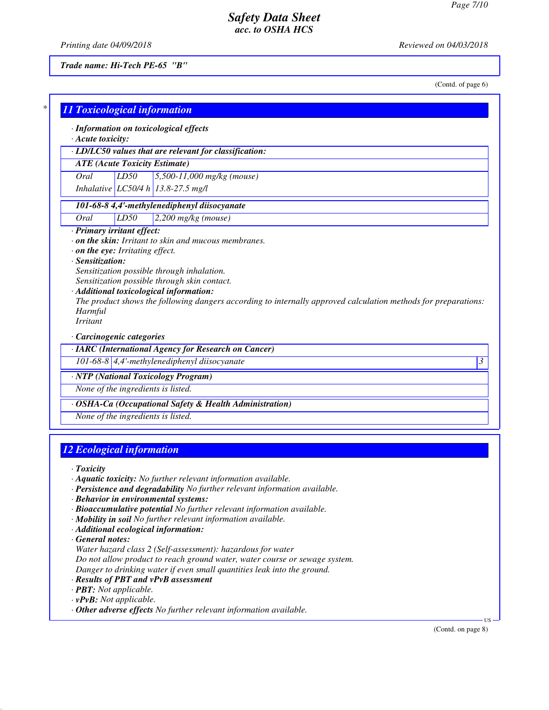*Printing date 04/09/2018 Reviewed on 04/03/2018*

*Trade name: Hi-Tech PE-65 "B"*

(Contd. of page 6)

| $\cdot$ Acute toxicity:                                 |      | · Information on toxicological effects                                                                                                                                                                                                                  |
|---------------------------------------------------------|------|---------------------------------------------------------------------------------------------------------------------------------------------------------------------------------------------------------------------------------------------------------|
|                                                         |      | · LD/LC50 values that are relevant for classification:                                                                                                                                                                                                  |
| <b>ATE</b> (Acute Toxicity Estimate)                    |      |                                                                                                                                                                                                                                                         |
| Oral                                                    | LD50 | $5,500-11,000$ mg/kg (mouse)                                                                                                                                                                                                                            |
|                                                         |      | Inhalative LC50/4 h 13.8-27.5 mg/l                                                                                                                                                                                                                      |
|                                                         |      | 101-68-8 4,4'-methylenediphenyl diisocyanate                                                                                                                                                                                                            |
| Oral                                                    | LD50 | $2,200$ mg/kg (mouse)                                                                                                                                                                                                                                   |
| Harmful<br><b>Irritant</b><br>· Carcinogenic categories |      | Sensitization possible through inhalation.<br>Sensitization possible through skin contact.<br>· Additional toxicological information:<br>The product shows the following dangers according to internally approved calculation methods for preparations: |
|                                                         |      | · IARC (International Agency for Research on Cancer)                                                                                                                                                                                                    |
|                                                         |      | 101-68-8 $\vert$ 4,4'-methylenediphenyl diisocyanate<br>3                                                                                                                                                                                               |
|                                                         |      | · NTP (National Toxicology Program)                                                                                                                                                                                                                     |
|                                                         |      |                                                                                                                                                                                                                                                         |
| None of the ingredients is listed.                      |      |                                                                                                                                                                                                                                                         |

# *12 Ecological information*

*· Toxicity*

- *· Aquatic toxicity: No further relevant information available.*
- *· Persistence and degradability No further relevant information available.*
- *· Behavior in environmental systems:*
- *· Bioaccumulative potential No further relevant information available.*
- *· Mobility in soil No further relevant information available.*
- *· Additional ecological information:*

*· General notes:*

*Water hazard class 2 (Self-assessment): hazardous for water*

*Do not allow product to reach ground water, water course or sewage system.*

- *Danger to drinking water if even small quantities leak into the ground.*
- *· Results of PBT and vPvB assessment*
- *· PBT: Not applicable.*
- *· vPvB: Not applicable.*
- *· Other adverse effects No further relevant information available.*

(Contd. on page 8)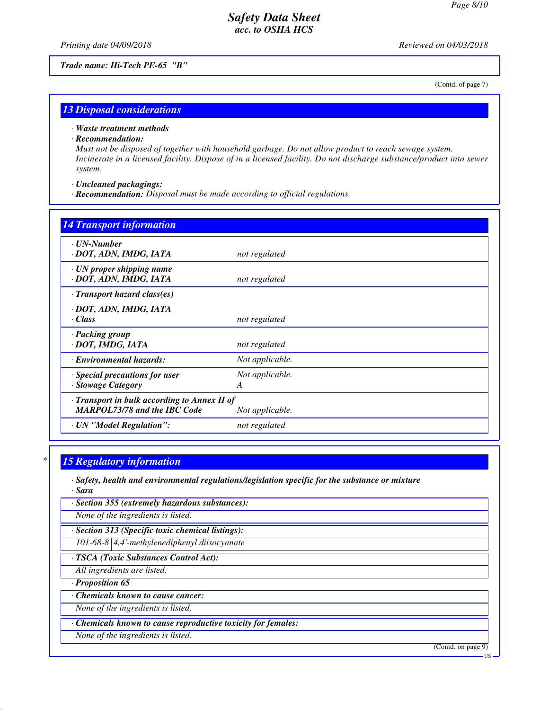*Printing date 04/09/2018 Reviewed on 04/03/2018*

*Trade name: Hi-Tech PE-65 "B"*

(Contd. of page 7)

#### *13 Disposal considerations*

*· Waste treatment methods*

*· Recommendation:*

*Must not be disposed of together with household garbage. Do not allow product to reach sewage system. Incinerate in a licensed facility. Dispose of in a licensed facility. Do not discharge substance/product into sewer system.*

*· Uncleaned packagings:*

*· Recommendation: Disposal must be made according to official regulations.*

| <b>14 Transport information</b>                                                     |                      |
|-------------------------------------------------------------------------------------|----------------------|
| $\cdot$ UN-Number<br>· DOT, ADN, IMDG, IATA                                         | not regulated        |
| $\cdot$ UN proper shipping name<br>· DOT, ADN, IMDG, IATA                           | not regulated        |
| $\cdot$ Transport hazard class(es)                                                  |                      |
| · DOT, ADN, IMDG, IATA<br>· Class                                                   | not regulated        |
| · Packing group<br>· DOT, IMDG, IATA                                                | not regulated        |
| · Environmental hazards:                                                            | Not applicable.      |
| · Special precautions for user<br>· Stowage Category                                | Not applicable.<br>A |
| · Transport in bulk according to Annex II of<br><b>MARPOL73/78 and the IBC Code</b> | Not applicable.      |
| · UN "Model Regulation":                                                            | not regulated        |

#### *\* 15 Regulatory information*

*· Safety, health and environmental regulations/legislation specific for the substance or mixture · Sara*

*· Section 355 (extremely hazardous substances):*

*None of the ingredients is listed.*

*· Section 313 (Specific toxic chemical listings): 101-68-8 4,4'-methylenediphenyl diisocyanate*

*· TSCA (Toxic Substances Control Act):*

*All ingredients are listed.*

*· Proposition 65*

*· Chemicals known to cause cancer:*

*None of the ingredients is listed.*

*· Chemicals known to cause reproductive toxicity for females:*

*None of the ingredients is listed.*

(Contd. on page 9)

US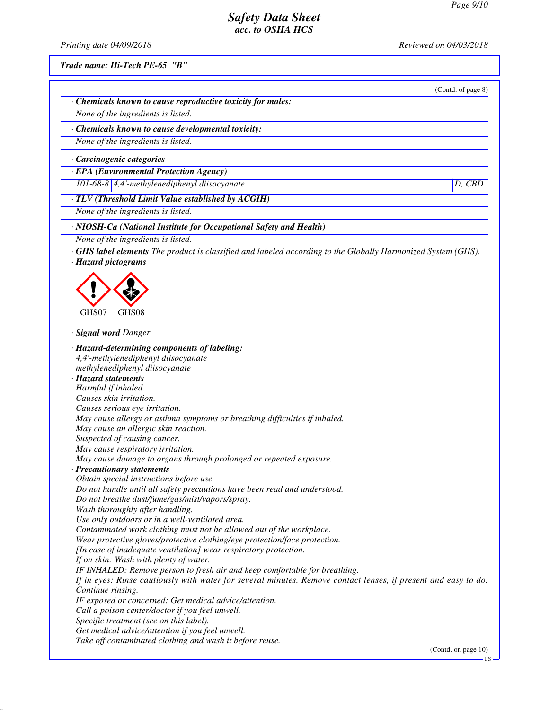(Contd. of page 8)

## *Safety Data Sheet acc. to OSHA HCS*

*Printing date 04/09/2018 Reviewed on 04/03/2018*

*Trade name: Hi-Tech PE-65 "B"*

*· Chemicals known to cause reproductive toxicity for males:*

*None of the ingredients is listed.*

*· Chemicals known to cause developmental toxicity:*

*None of the ingredients is listed.*

*· Carcinogenic categories*

*· EPA (Environmental Protection Agency)*

*101-68-8 4,4'-methylenediphenyl diisocyanate D, CBD*

*· TLV (Threshold Limit Value established by ACGIH)*

*None of the ingredients is listed.*

*· NIOSH-Ca (National Institute for Occupational Safety and Health)*

*None of the ingredients is listed.*

*· GHS label elements The product is classified and labeled according to the Globally Harmonized System (GHS). · Hazard pictograms*



*· Signal word Danger*

*· Hazard-determining components of labeling: 4,4'-methylenediphenyl diisocyanate methylenediphenyl diisocyanate · Hazard statements Harmful if inhaled. Causes skin irritation. Causes serious eye irritation. May cause allergy or asthma symptoms or breathing difficulties if inhaled. May cause an allergic skin reaction. Suspected of causing cancer. May cause respiratory irritation. May cause damage to organs through prolonged or repeated exposure. · Precautionary statements Obtain special instructions before use. Do not handle until all safety precautions have been read and understood. Do not breathe dust/fume/gas/mist/vapors/spray. Wash thoroughly after handling. Use only outdoors or in a well-ventilated area. Contaminated work clothing must not be allowed out of the workplace. Wear protective gloves/protective clothing/eye protection/face protection. [In case of inadequate ventilation] wear respiratory protection. If on skin: Wash with plenty of water. IF INHALED: Remove person to fresh air and keep comfortable for breathing. If in eyes: Rinse cautiously with water for several minutes. Remove contact lenses, if present and easy to do. Continue rinsing. IF exposed or concerned: Get medical advice/attention. Call a poison center/doctor if you feel unwell. Specific treatment (see on this label). Get medical advice/attention if you feel unwell. Take off contaminated clothing and wash it before reuse.*

(Contd. on page 10)